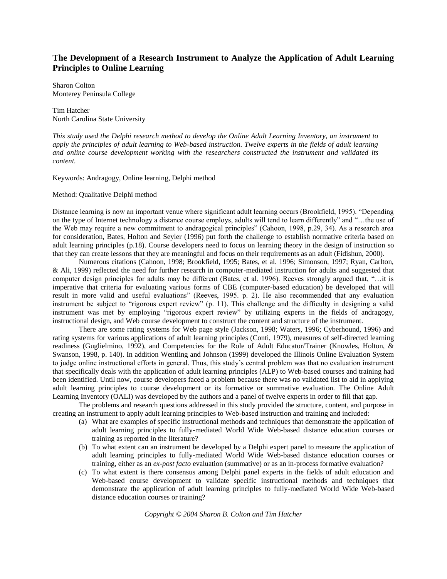# **The Development of a Research Instrument to Analyze the Application of Adult Learning Principles to Online Learning**

Sharon Colton Monterey Peninsula College

Tim Hatcher North Carolina State University

*This study used the Delphi research method to develop the Online Adult Learning Inventory, an instrument to apply the principles of adult learning to Web-based instruction. Twelve experts in the fields of adult learning and online course development working with the researchers constructed the instrument and validated its content.*

Keywords: Andragogy, Online learning, Delphi method

#### Method: Qualitative Delphi method

Distance learning is now an important venue where significant adult learning occurs (Brookfield, 1995). "Depending on the type of Internet technology a distance course employs, adults will tend to learn differently" and "…the use of the Web may require a new commitment to andragogical principles" (Cahoon, 1998, p.29, 34). As a research area for consideration, Bates, Holton and Seyler (1996) put forth the challenge to establish normative criteria based on adult learning principles (p.18). Course developers need to focus on learning theory in the design of instruction so that they can create lessons that they are meaningful and focus on their requirements as an adult (Fidishun, 2000).

Numerous citations (Cahoon, 1998; Brookfield, 1995; Bates, et al. 1996; Simonson, 1997; Ryan, Carlton, & Ali, 1999) reflected the need for further research in computer-mediated instruction for adults and suggested that computer design principles for adults may be different (Bates, et al. 1996). Reeves strongly argued that, "…it is imperative that criteria for evaluating various forms of CBE (computer-based education) be developed that will result in more valid and useful evaluations" (Reeves, 1995. p. 2). He also recommended that any evaluation instrument be subject to "rigorous expert review" (p. 11). This challenge and the difficulty in designing a valid instrument was met by employing "rigorous expert review" by utilizing experts in the fields of andragogy, instructional design, and Web course development to construct the content and structure of the instrument.

There are some rating systems for Web page style (Jackson, 1998; Waters, 1996; Cyberhound, 1996) and rating systems for various applications of adult learning principles (Conti, 1979), measures of self-directed learning readiness (Guglielmino, 1992), and Competencies for the Role of Adult Educator/Trainer (Knowles, Holton, & Swanson, 1998, p. 140). In addition Wentling and Johnson (1999) developed the Illinois Online Evaluation System to judge online instructional efforts in general. Thus, this study's central problem was that no evaluation instrument that specifically deals with the application of adult learning principles (ALP) to Web-based courses and training had been identified. Until now, course developers faced a problem because there was no validated list to aid in applying adult learning principles to course development or its formative or summative evaluation. The Online Adult Learning Inventory (OALI) was developed by the authors and a panel of twelve experts in order to fill that gap.

The problems and research questions addressed in this study provided the structure, content, and purpose in creating an instrument to apply adult learning principles to Web-based instruction and training and included:

- (a) What are examples of specific instructional methods and techniques that demonstrate the application of adult learning principles to fully-mediated World Wide Web-based distance education courses or training as reported in the literature?
- (b) To what extent can an instrument be developed by a Delphi expert panel to measure the application of adult learning principles to fully-mediated World Wide Web-based distance education courses or training, either as an *ex-post facto* evaluation (summative) or as an in-process formative evaluation?
- (c) To what extent is there consensus among Delphi panel experts in the fields of adult education and Web-based course development to validate specific instructional methods and techniques that demonstrate the application of adult learning principles to fully-mediated World Wide Web-based distance education courses or training?

*Copyright © 2004 Sharon B. Colton and Tim Hatcher*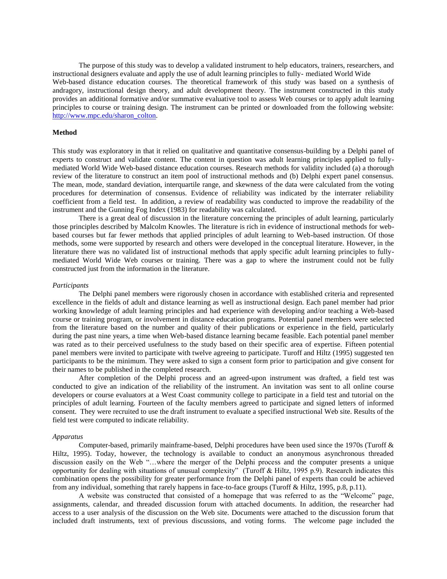The purpose of this study was to develop a validated instrument to help educators, trainers, researchers, and instructional designers evaluate and apply the use of adult learning principles to fully- mediated World Wide Web-based distance education courses. The theoretical framework of this study was based on a synthesis of andragory, instructional design theory, and adult development theory. The instrument constructed in this study provides an additional formative and/or summative evaluative tool to assess Web courses or to apply adult learning principles to course or training design. The instrument can be printed or downloaded from the following website: [http://www.mpc.edu/sharon\\_colton.](http://www.mpc.edu/sharon_colton)

# **Method**

This study was exploratory in that it relied on qualitative and quantitative consensus-building by a Delphi panel of experts to construct and validate content. The content in question was adult learning principles applied to fullymediated World Wide Web-based distance education courses. Research methods for validity included (a) a thorough review of the literature to construct an item pool of instructional methods and (b) Delphi expert panel consensus. The mean, mode, standard deviation, interquartile range, and skewness of the data were calculated from the voting procedures for determination of consensus. Evidence of reliability was indicated by the interrater reliability coefficient from a field test. In addition, a review of readability was conducted to improve the readability of the instrument and the Gunning Fog Index (1983) for readability was calculated.

There is a great deal of discussion in the literature concerning the principles of adult learning, particularly those principles described by Malcolm Knowles. The literature is rich in evidence of instructional methods for webbased courses but far fewer methods that applied principles of adult learning to Web-based instruction. Of those methods, some were supported by research and others were developed in the conceptual literature. However, in the literature there was no validated list of instructional methods that apply specific adult learning principles to fullymediated World Wide Web courses or training. There was a gap to where the instrument could not be fully constructed just from the information in the literature.

#### *Participants*

The Delphi panel members were rigorously chosen in accordance with established criteria and represented excellence in the fields of adult and distance learning as well as instructional design. Each panel member had prior working knowledge of adult learning principles and had experience with developing and/or teaching a Web-based course or training program, or involvement in distance education programs. Potential panel members were selected from the literature based on the number and quality of their publications or experience in the field, particularly during the past nine years, a time when Web-based distance learning became feasible. Each potential panel member was rated as to their perceived usefulness to the study based on their specific area of expertise. Fifteen potential panel members were invited to participate with twelve agreeing to participate. Turoff and Hiltz (1995) suggested ten participants to be the minimum. They were asked to sign a consent form prior to participation and give consent for their names to be published in the completed research.

After completion of the Delphi process and an agreed-upon instrument was drafted, a field test was conducted to give an indication of the reliability of the instrument. An invitation was sent to all online course developers or course evaluators at a West Coast community college to participate in a field test and tutorial on the principles of adult learning. Fourteen of the faculty members agreed to participate and signed letters of informed consent. They were recruited to use the draft instrument to evaluate a specified instructional Web site. Results of the field test were computed to indicate reliability.

#### *Apparatus*

Computer-based, primarily mainframe-based, Delphi procedures have been used since the 1970s (Turoff & Hiltz, 1995). Today, however, the technology is available to conduct an anonymous asynchronous threaded discussion easily on the Web "…where the merger of the Delphi process and the computer presents a unique opportunity for dealing with situations of unusual complexity" (Turoff & Hiltz, 1995 p.9). Research indicates this combination opens the possibility for greater performance from the Delphi panel of experts than could be achieved from any individual, something that rarely happens in face-to-face groups (Turoff & Hiltz, 1995, p.8, p.11).

A website was constructed that consisted of a homepage that was referred to as the "Welcome" page, assignments, calendar, and threaded discussion forum with attached documents. In addition, the researcher had access to a user analysis of the discussion on the Web site. Documents were attached to the discussion forum that included draft instruments, text of previous discussions, and voting forms. The welcome page included the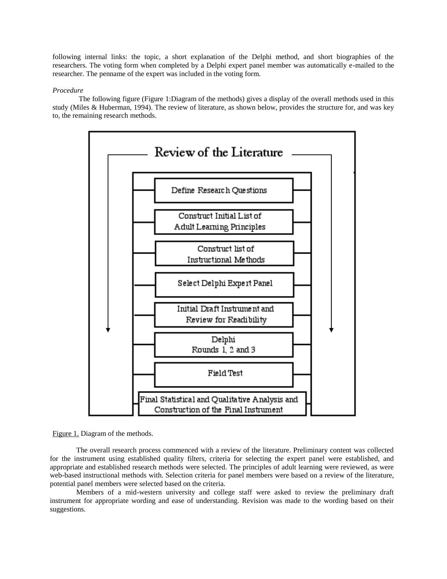following internal links: the topic, a short explanation of the Delphi method, and short biographies of the researchers. The voting form when completed by a Delphi expert panel member was automatically e-mailed to the researcher. The penname of the expert was included in the voting form.

# *Procedure*

The following figure (Figure 1:Diagram of the methods) gives a display of the overall methods used in this study (Miles & Huberman, 1994). The review of literature, as shown below, provides the structure for, and was key to, the remaining research methods.





The overall research process commenced with a review of the literature. Preliminary content was collected for the instrument using established quality filters, criteria for selecting the expert panel were established, and appropriate and established research methods were selected. The principles of adult learning were reviewed, as were web-based instructional methods with. Selection criteria for panel members were based on a review of the literature, potential panel members were selected based on the criteria.

Members of a mid-western university and college staff were asked to review the preliminary draft instrument for appropriate wording and ease of understanding. Revision was made to the wording based on their suggestions.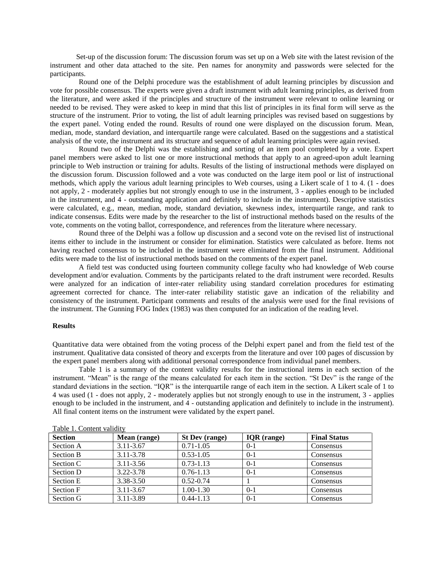Set-up of the discussion forum: The discussion forum was set up on a Web site with the latest revision of the instrument and other data attached to the site. Pen names for anonymity and passwords were selected for the participants.

Round one of the Delphi procedure was the establishment of adult learning principles by discussion and vote for possible consensus. The experts were given a draft instrument with adult learning principles, as derived from the literature, and were asked if the principles and structure of the instrument were relevant to online learning or needed to be revised. They were asked to keep in mind that this list of principles in its final form will serve as the structure of the instrument. Prior to voting, the list of adult learning principles was revised based on suggestions by the expert panel. Voting ended the round. Results of round one were displayed on the discussion forum. Mean, median, mode, standard deviation, and interquartile range were calculated. Based on the suggestions and a statistical analysis of the vote, the instrument and its structure and sequence of adult learning principles were again revised.

Round two of the Delphi was the establishing and sorting of an item pool completed by a vote. Expert panel members were asked to list one or more instructional methods that apply to an agreed-upon adult learning principle to Web instruction or training for adults. Results of the listing of instructional methods were displayed on the discussion forum. Discussion followed and a vote was conducted on the large item pool or list of instructional methods, which apply the various adult learning principles to Web courses, using a Likert scale of 1 to 4. (1 - does not apply, 2 - moderately applies but not strongly enough to use in the instrument, 3 - applies enough to be included in the instrument, and 4 - outstanding application and definitely to include in the instrument). Descriptive statistics were calculated, e.g., mean, median, mode, standard deviation, skewness index, interquartile range, and rank to indicate consensus. Edits were made by the researcher to the list of instructional methods based on the results of the vote, comments on the voting ballot, correspondence, and references from the literature where necessary.

Round three of the Delphi was a follow up discussion and a second vote on the revised list of instructional items either to include in the instrument or consider for elimination. Statistics were calculated as before. Items not having reached consensus to be included in the instrument were eliminated from the final instrument. Additional edits were made to the list of instructional methods based on the comments of the expert panel.

A field test was conducted using fourteen community college faculty who had knowledge of Web course development and/or evaluation. Comments by the participants related to the draft instrument were recorded. Results were analyzed for an indication of inter-rater reliability using standard correlation procedures for estimating agreement corrected for chance. The inter-rater reliability statistic gave an indication of the reliability and consistency of the instrument. Participant comments and results of the analysis were used for the final revisions of the instrument. The Gunning FOG Index (1983) was then computed for an indication of the reading level.

#### **Results**

Quantitative data were obtained from the voting process of the Delphi expert panel and from the field test of the instrument. Qualitative data consisted of theory and excerpts from the literature and over 100 pages of discussion by the expert panel members along with additional personal correspondence from individual panel members.

Table 1 is a summary of the content validity results for the instructional items in each section of the instrument. "Mean" is the range of the means calculated for each item in the section. "St Dev" is the range of the standard deviations in the section. "IQR" is the interquartile range of each item in the section. A Likert scale of 1 to 4 was used (1 - does not apply, 2 - moderately applies but not strongly enough to use in the instrument, 3 - applies enough to be included in the instrument, and 4 - outstanding application and definitely to include in the instrument). All final content items on the instrument were validated by the expert panel.

| 14010101000110011001101010 |               |                       |               |                     |  |
|----------------------------|---------------|-----------------------|---------------|---------------------|--|
| <b>Section</b>             | Mean (range)  | <b>St Dev</b> (range) | $IQR$ (range) | <b>Final Status</b> |  |
| Section A                  | $3.11 - 3.67$ | $0.71 - 1.05$         | $0-1$         | Consensus           |  |
| <b>Section B</b>           | 3.11-3.78     | $0.53 - 1.05$         | $0-1$         | Consensus           |  |
| Section C                  | $3.11 - 3.56$ | $0.73 - 1.13$         | $0-1$         | Consensus           |  |
| Section D                  | 3.22-3.78     | $0.76 - 1.13$         | $0-1$         | Consensus           |  |
| Section E                  | 3.38-3.50     | $0.52 - 0.74$         |               | Consensus           |  |
| Section F                  | 3.11-3.67     | $1.00 - 1.30$         | $0-1$         | Consensus           |  |
| Section G                  | 3.11-3.89     | $0.44 - 1.13$         | $0 - 1$       | Consensus           |  |

Table 1. Content validity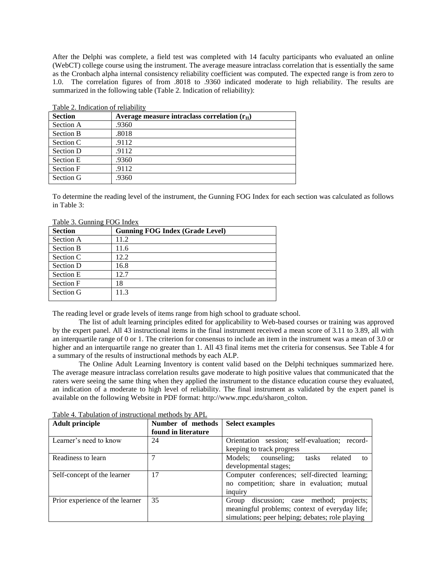After the Delphi was complete, a field test was completed with 14 faculty participants who evaluated an online (WebCT) college course using the instrument. The average measure intraclass correlation that is essentially the same as the Cronbach alpha internal consistency reliability coefficient was computed. The expected range is from zero to 1.0. The correlation figures of from .8018 to .9360 indicated moderate to high reliability. The results are summarized in the following table (Table 2. Indication of reliability):

| Taon 2. Indication of Tenability |                                                      |  |  |
|----------------------------------|------------------------------------------------------|--|--|
| <b>Section</b>                   | Average measure intraclass correlation $(r_{\rm H})$ |  |  |
| Section A                        | .9360                                                |  |  |
| <b>Section B</b>                 | .8018                                                |  |  |
| Section C                        | .9112                                                |  |  |
| Section D                        | .9112                                                |  |  |
| Section E                        | .9360                                                |  |  |
| Section F                        | .9112                                                |  |  |
| Section G                        | .9360                                                |  |  |
|                                  |                                                      |  |  |

Table 2. Indication of reliability

To determine the reading level of the instrument, the Gunning FOG Index for each section was calculated as follows in Table 3:

| Table 5. Outfilling TOO HIGHA |                                        |  |  |  |
|-------------------------------|----------------------------------------|--|--|--|
| <b>Section</b>                | <b>Gunning FOG Index (Grade Level)</b> |  |  |  |
| Section A                     | 11.2                                   |  |  |  |
| <b>Section B</b>              | 11.6                                   |  |  |  |
| Section C                     | 12.2.                                  |  |  |  |
| Section D                     | 16.8                                   |  |  |  |
| Section E                     | 12.7                                   |  |  |  |
| Section F                     | 18                                     |  |  |  |
| Section G                     | 11.3                                   |  |  |  |
|                               |                                        |  |  |  |

Table 3. Gunning FOG Index

The reading level or grade levels of items range from high school to graduate school.

The list of adult learning principles edited for applicability to Web-based courses or training was approved by the expert panel. All 43 instructional items in the final instrument received a mean score of 3.11 to 3.89, all with an interquartile range of 0 or 1. The criterion for consensus to include an item in the instrument was a mean of 3.0 or higher and an interquartile range no greater than 1. All 43 final items met the criteria for consensus. See Table 4 for a summary of the results of instructional methods by each ALP.

The Online Adult Learning Inventory is content valid based on the Delphi techniques summarized here. The average measure intraclass correlation results gave moderate to high positive values that communicated that the raters were seeing the same thing when they applied the instrument to the distance education course they evaluated, an indication of a moderate to high level of reliability. The final instrument as validated by the expert panel is available on the following Website in PDF format: http://www.mpc.edu/sharon\_colton.

| <b>Adult principle</b>          | Number of methods   | <b>Select examples</b>                           |
|---------------------------------|---------------------|--------------------------------------------------|
|                                 | found in literature |                                                  |
| Learner's need to know          | 24                  | Orientation session; self-evaluation; record-    |
|                                 |                     | keeping to track progress                        |
| Readiness to learn              |                     | Models; counseling; tasks<br>related<br>tΩ       |
|                                 |                     | developmental stages;                            |
| Self-concept of the learner     | 17                  | Computer conferences; self-directed learning;    |
|                                 |                     | no competition; share in evaluation; mutual      |
|                                 |                     | inquiry                                          |
| Prior experience of the learner | 35                  | discussion; case method;<br>projects;<br>Group   |
|                                 |                     | meaningful problems; context of everyday life;   |
|                                 |                     | simulations; peer helping; debates; role playing |

Table 4. Tabulation of instructional methods by APL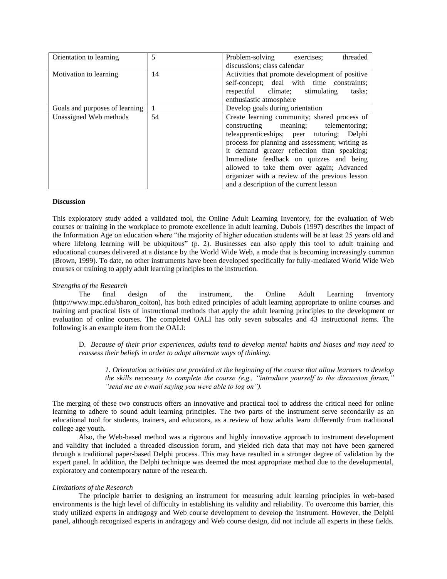| Orientation to learning        | 5  | Problem-solving exercises;<br>threaded          |
|--------------------------------|----|-------------------------------------------------|
|                                |    | discussions; class calendar                     |
| Motivation to learning         | 14 | Activities that promote development of positive |
|                                |    | self-concept; deal with time constraints;       |
|                                |    | respectful climate;<br>stimulating<br>tasks:    |
|                                |    | enthusiastic atmosphere                         |
| Goals and purposes of learning | 1  | Develop goals during orientation                |
| Unassigned Web methods         | 54 | Create learning community; shared process of    |
|                                |    | constructing meaning; telementoring;            |
|                                |    | teleapprenticeships; peer tutoring; Delphi      |
|                                |    | process for planning and assessment; writing as |
|                                |    | it demand greater reflection than speaking;     |
|                                |    | Immediate feedback on quizzes and being         |
|                                |    | allowed to take them over again; Advanced       |
|                                |    | organizer with a review of the previous lesson  |
|                                |    | and a description of the current lesson         |

### **Discussion**

This exploratory study added a validated tool, the Online Adult Learning Inventory, for the evaluation of Web courses or training in the workplace to promote excellence in adult learning. Dubois (1997) describes the impact of the Information Age on education where "the majority of higher education students will be at least 25 years old and where lifelong learning will be ubiquitous" (p. 2). Businesses can also apply this tool to adult training and educational courses delivered at a distance by the World Wide Web, a mode that is becoming increasingly common (Brown, 1999). To date, no other instruments have been developed specifically for fully-mediated World Wide Web courses or training to apply adult learning principles to the instruction.

### *Strengths of the Research*

The final design of the instrument, the Online Adult Learning Inventory (http://www.mpc.edu/sharon\_colton), has both edited principles of adult learning appropriate to online courses and training and practical lists of instructional methods that apply the adult learning principles to the development or evaluation of online courses. The completed OALI has only seven subscales and 43 instructional items. The following is an example item from the OALI:

D. *Because of their prior experiences, adults tend to develop mental habits and biases and may need to reassess their beliefs in order to adopt alternate ways of thinking.*

*1. Orientation activities are provided at the beginning of the course that allow learners to develop the skills necessary to complete the course (e.g., "introduce yourself to the discussion forum," "send me an e-mail saying you were able to log on").* 

The merging of these two constructs offers an innovative and practical tool to address the critical need for online learning to adhere to sound adult learning principles. The two parts of the instrument serve secondarily as an educational tool for students, trainers, and educators, as a review of how adults learn differently from traditional college age youth.

Also, the Web-based method was a rigorous and highly innovative approach to instrument development and validity that included a threaded discussion forum, and yielded rich data that may not have been garnered through a traditional paper-based Delphi process. This may have resulted in a stronger degree of validation by the expert panel. In addition, the Delphi technique was deemed the most appropriate method due to the developmental, exploratory and contemporary nature of the research.

#### *Limitations of the Research*

The principle barrier to designing an instrument for measuring adult learning principles in web-based environments is the high level of difficulty in establishing its validity and reliability. To overcome this barrier, this study utilized experts in andragogy and Web course development to develop the instrument. However, the Delphi panel, although recognized experts in andragogy and Web course design, did not include all experts in these fields.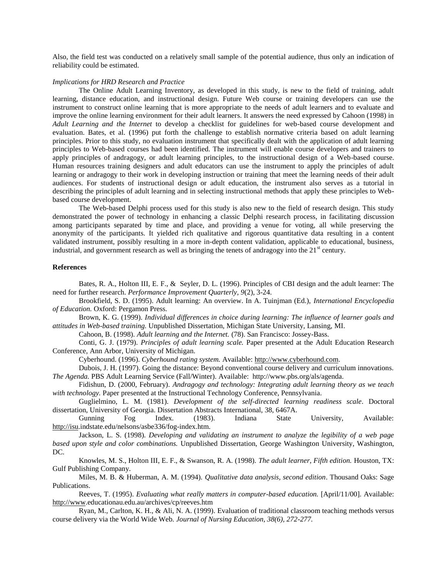Also, the field test was conducted on a relatively small sample of the potential audience, thus only an indication of reliability could be estimated.

#### *Implications for HRD Research and Practice*

The Online Adult Learning Inventory, as developed in this study, is new to the field of training, adult learning, distance education, and instructional design. Future Web course or training developers can use the instrument to construct online learning that is more appropriate to the needs of adult learners and to evaluate and improve the online learning environment for their adult learners. It answers the need expressed by Cahoon (1998) in *Adult Learning and the Internet* to develop a checklist for guidelines for web-based course development and evaluation. Bates, et al. (1996) put forth the challenge to establish normative criteria based on adult learning principles. Prior to this study, no evaluation instrument that specifically dealt with the application of adult learning principles to Web-based courses had been identified. The instrument will enable course developers and trainers to apply principles of andragogy, or adult learning principles, to the instructional design of a Web-based course. Human resources training designers and adult educators can use the instrument to apply the principles of adult learning or andragogy to their work in developing instruction or training that meet the learning needs of their adult audiences. For students of instructional design or adult education, the instrument also serves as a tutorial in describing the principles of adult learning and in selecting instructional methods that apply these principles to Webbased course development.

The Web-based Delphi process used for this study is also new to the field of research design. This study demonstrated the power of technology in enhancing a classic Delphi research process, in facilitating discussion among participants separated by time and place, and providing a venue for voting, all while preserving the anonymity of the participants. It yielded rich qualitative and rigorous quantitative data resulting in a content validated instrument, possibly resulting in a more in-depth content validation, applicable to educational, business, industrial, and government research as well as bringing the tenets of andragogy into the  $21<sup>st</sup>$  century.

### **References**

Bates, R. A., Holton III, E. F., & Seyler, D. L. (1996). Principles of CBI design and the adult learner: The need for further research. *Performance Improvement Quarterly, 9*(2), 3-24.

Brookfield, S. D. (1995). Adult learning: An overview. In A. Tuinjman (Ed.), *International Encyclopedia of Education.* Oxford: Pergamon Press.

Brown, K. G. (1999). *Individual differences in choice during learning: The influence of learner goals and attitudes in Web-based training.* Unpublished Dissertation, Michigan State University, Lansing, MI.

Cahoon, B. (1998). *Adult learning and the Internet.* (78). San Francisco: Jossey-Bass.

Conti, G. J. (1979). *Principles of adult learning scale.* Paper presented at the Adult Education Research Conference, Ann Arbor, University of Michigan.

Cyberhound. (1996). *Cyberhound rating system.* Available: [http://www.cyberhound.com.](http://www.cyberhound.com/)

Dubois, J. H. (1997). Going the distance: Beyond conventional course delivery and curriculum innovations. *The Agenda.* PBS Adult Learning Service (Fall/Winter). Available: http://www.pbs.org/als/agenda.

Fidishun, D. (2000, February). *Andragogy and technology: Integrating adult learning theory as we teach with technology.* Paper presented at the Instructional Technology Conference, Pennsylvania.

Guglielmino, L. M. (1981). *Development of the self-directed learning readiness scale*. Doctoral dissertation, University of Georgia. Dissertation Abstracts International, 38, 6467A.

Gunning Fog Index. (1983). Indiana State University, Available: [http://isu.i](http://isu/)ndstate.edu/nelsons/asbe336/fog-index.htm.

Jackson, L. S. (1998). *Developing and validating an instrument to analyze the legibility of a web page based upon style and color combinations.* Unpublished Dissertation, George Washington University, Washington, DC.

Knowles, M. S., Holton III, E. F., & Swanson, R. A. (1998). *The adult learner, Fifth edition.* Houston, TX: Gulf Publishing Company.

Miles, M. B. & Huberman, A. M. (1994). *Qualitative data analysis, second edition*. Thousand Oaks: Sage Publications.

Reeves, T. (1995). *Evaluating what really matters in computer-based education.* [April/11/00]. Available: [http://www.e](http://www/)ducationau.edu.au/archives/cp/reeves.htm

Ryan, M., Carlton, K. H., & Ali, N. A. (1999). Evaluation of traditional classroom teaching methods versus course delivery via the World Wide Web. *Journal of Nursing Education, 38(6), 272-277.*